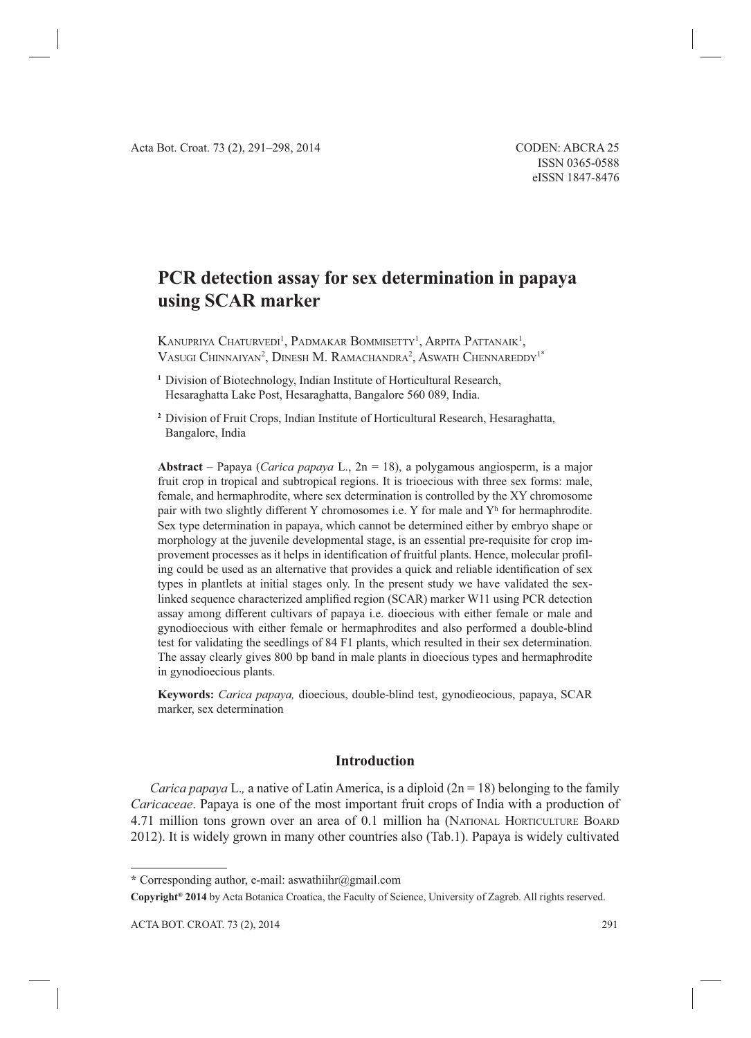# **PCR detection assay for sex determination in papaya using SCAR marker**

KANUPRIYA CHATURVEDI<sup>1</sup>, PADMAKAR BOMMISETTY<sup>1</sup>, ARPITA PATTANAIK<sup>1</sup>, Vasugi Chinnaiyan<sup>2</sup>, Dinesh M. Ramachandra<sup>2</sup>, Aswath Chennareddy<sup>1\*</sup>

- <sup>1</sup> Division of Biotechnology, Indian Institute of Horticultural Research, Hesaraghatta Lake Post, Hesaraghatta, Bangalore 560 089, India.
- <sup>2</sup> Division of Fruit Crops, Indian Institute of Horticultural Research, Hesaraghatta, Bangalore, India

**Abstract** – Papaya (*Carica papaya* L., 2n = 18), a polygamous angiosperm, is a major fruit crop in tropical and subtropical regions. It is trioecious with three sex forms: male, female, and hermaphrodite, where sex determination is controlled by the XY chromosome pair with two slightly different Y chromosomes i.e. Y for male and  $Y<sup>h</sup>$  for hermaphrodite. Sex type determination in papaya, which cannot be determined either by embryo shape or morphology at the juvenile developmental stage, is an essential pre-requisite for crop improvement processes as it helps in identification of fruitful plants. Hence, molecular profiling could be used as an alternative that provides a quick and reliable identification of sex types in plantlets at initial stages only. In the present study we have validated the sexlinked sequence characterized amplified region ( $SCAR$ ) marker W11 using PCR detection assay among different cultivars of papaya i.e. dioecious with either female or male and gynodioecious with either female or hermaphrodites and also performed a double-blind test for validating the seedlings of 84 F1 plants, which resulted in their sex determination. The assay clearly gives 800 bp band in male plants in dioecious types and hermaphrodite in gynodioecious plants.

**Keywords:** *Carica papaya,* dioecious, double-blind test, gynodieocious, papaya, SCAR marker, sex determination

### **Introduction**

*Carica papaya L.*, a native of Latin America, is a diploid  $(2n = 18)$  belonging to the family *Caricaceae*. Papaya is one of the most important fruit crops of India with a production of 4.71 million tons grown over an area of 0.1 million ha (NATIONAL HORTICULTURE BOARD 2012). It is widely grown in many other countries also (Tab.1). Papaya is widely cultivated

**<sup>\*</sup>** Corresponding author, e-mail: aswathiihr@gmail.com

**Copyright® 2014** by Acta Botanica Croatica, the Faculty of Science, University of Zagreb. All rights reserved.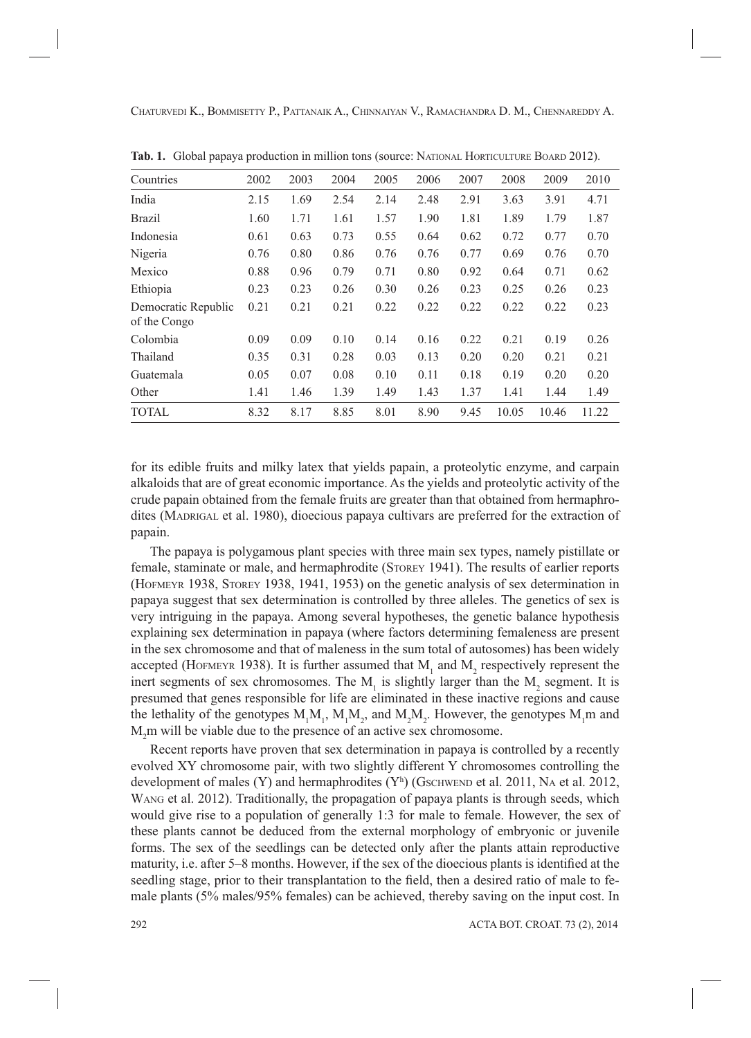| Countries                           | 2002 | 2003 | 2004 | 2005 | 2006 | 2007 | 2008  | 2009  | 2010  |
|-------------------------------------|------|------|------|------|------|------|-------|-------|-------|
| India                               | 2.15 | 1.69 | 2.54 | 2.14 | 2.48 | 2.91 | 3.63  | 3.91  | 4.71  |
| Brazil                              | 1.60 | 1.71 | 1.61 | 1.57 | 1.90 | 1.81 | 1.89  | 1.79  | 1.87  |
| Indonesia                           | 0.61 | 0.63 | 0.73 | 0.55 | 0.64 | 0.62 | 0.72  | 0.77  | 0.70  |
| Nigeria                             | 0.76 | 0.80 | 0.86 | 0.76 | 0.76 | 0.77 | 0.69  | 0.76  | 0.70  |
| Mexico                              | 0.88 | 0.96 | 0.79 | 0.71 | 0.80 | 0.92 | 0.64  | 0.71  | 0.62  |
| Ethiopia                            | 0.23 | 0.23 | 0.26 | 0.30 | 0.26 | 0.23 | 0.25  | 0.26  | 0.23  |
| Democratic Republic<br>of the Congo | 0.21 | 0.21 | 0.21 | 0.22 | 0.22 | 0.22 | 0.22  | 0.22  | 0.23  |
| Colombia                            | 0.09 | 0.09 | 0.10 | 0.14 | 0.16 | 0.22 | 0.21  | 0.19  | 0.26  |
| Thailand                            | 0.35 | 0.31 | 0.28 | 0.03 | 0.13 | 0.20 | 0.20  | 0.21  | 0.21  |
| Guatemala                           | 0.05 | 0.07 | 0.08 | 0.10 | 0.11 | 0.18 | 0.19  | 0.20  | 0.20  |
| Other                               | 1.41 | 1.46 | 1.39 | 1.49 | 1.43 | 1.37 | 1.41  | 1.44  | 1.49  |
| <b>TOTAL</b>                        | 8.32 | 8.17 | 8.85 | 8.01 | 8.90 | 9.45 | 10.05 | 10.46 | 11.22 |

**Tab. 1.** Global papaya production in million tons (source: NATIONAL HORTICULTURE BOARD 2012).

for its edible fruits and milky latex that yields papain, a proteolytic enzyme, and carpain alkaloids that are of great economic importance. As the yields and proteolytic activity of the crude papain obtained from the female fruits are greater than that obtained from hermaphrodites (MADRIGAL et al. 1980), dioecious papaya cultivars are preferred for the extraction of papain.

The papaya is polygamous plant species with three main sex types, namely pistillate or female, staminate or male, and hermaphrodite (STOREY 1941). The results of earlier reports (HOFMEYR 1938, STOREY 1938, 1941, 1953) on the genetic analysis of sex determination in papaya suggest that sex determination is controlled by three alleles. The genetics of sex is very intriguing in the papaya. Among several hypotheses, the genetic balance hypothesis explaining sex determination in papaya (where factors determining femaleness are present in the sex chromosome and that of maleness in the sum total of autosomes) has been widely accepted (HOFMEYR 1938). It is further assumed that  $M_1$  and  $M_2$  respectively represent the inert segments of sex chromosomes. The  $M<sub>1</sub>$  is slightly larger than the  $M<sub>2</sub>$  segment. It is presumed that genes responsible for life are eliminated in these inactive regions and cause the lethality of the genotypes  $M_1M_1$ ,  $M_1M_2$ , and  $M_2M_2$ . However, the genotypes  $M_1$ m and  $M_2$ m will be viable due to the presence of an active sex chromosome.

Recent reports have proven that sex determination in papaya is controlled by a recently evolved XY chromosome pair, with two slightly different Y chromosomes controlling the development of males (Y) and hermaphrodites  $(Y<sup>h</sup>)$  (Gschwend et al. 2011, NA et al. 2012, WANG et al. 2012). Traditionally, the propagation of papaya plants is through seeds, which would give rise to a population of generally 1:3 for male to female. However, the sex of these plants cannot be deduced from the external morphology of embryonic or juvenile forms. The sex of the seedlings can be detected only after the plants attain reproductive maturity, i.e. after 5–8 months. However, if the sex of the dioecious plants is identified at the seedling stage, prior to their transplantation to the field, then a desired ratio of male to female plants (5% males/95% females) can be achieved, thereby saving on the input cost. In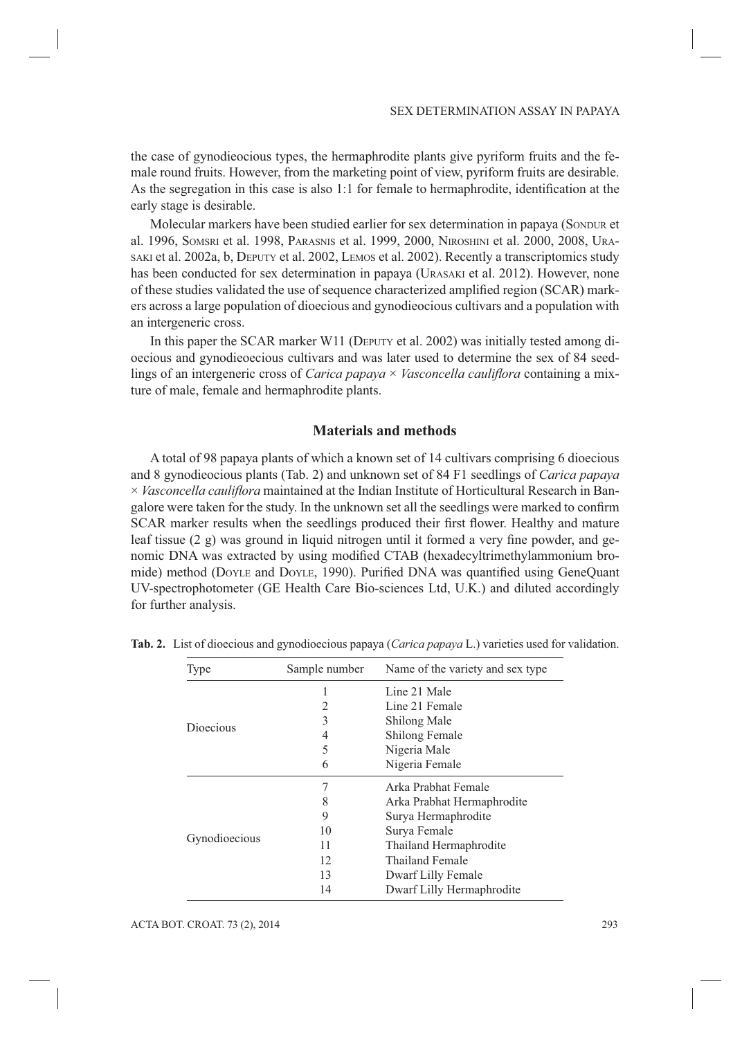the case of gynodieocious types, the hermaphrodite plants give pyriform fruits and the female round fruits. However, from the marketing point of view, pyriform fruits are desirable. As the segregation in this case is also  $1:1$  for female to hermaphrodite, identification at the early stage is desirable.

Molecular markers have been studied earlier for sex determination in papaya (SONDUR et al. 1996, SOMSRI et al. 1998, PARASNIS et al. 1999, 2000, NIROSHINI et al. 2000, 2008, URA-SAKI et al. 2002a, b, DEPUTY et al. 2002, LEMOS et al. 2002). Recently a transcriptomics study has been conducted for sex determination in papaya (URASAKI et al. 2012). However, none of these studies validated the use of sequence characterized amplified region (SCAR) markers across a large population of dioecious and gynodieocious cultivars and a population with an intergeneric cross.

In this paper the SCAR marker W11 (DEPUTY et al. 2002) was initially tested among dioecious and gynodieoecious cultivars and was later used to determine the sex of 84 seedlings of an intergeneric cross of *Carica papaya* × *Vasconcella cauliflora* containing a mixture of male, female and hermaphrodite plants.

### **Materials and methods**

A total of 98 papaya plants of which a known set of 14 cultivars comprising 6 dioecious and 8 gynodieocious plants (Tab. 2) and unknown set of 84 F1 seedlings of *Carica papaya*   $\times$  *Vasconcella cauliflora* maintained at the Indian Institute of Horticultural Research in Bangalore were taken for the study. In the unknown set all the seedlings were marked to confirm SCAR marker results when the seedlings produced their first flower. Healthy and mature leaf tissue  $(2 g)$  was ground in liquid nitrogen until it formed a very fine powder, and genomic DNA was extracted by using modified CTAB (hexadecyltrimethylammonium bromide) method (DOYLE and DOYLE, 1990). Purified DNA was quantified using GeneQuant UV-spectrophotometer (GE Health Care Bio-sciences Ltd, U.K.) and diluted accordingly for further analysis.

| Type          | Sample number | Name of the variety and sex type |  |  |  |  |
|---------------|---------------|----------------------------------|--|--|--|--|
|               |               | Line 21 Male                     |  |  |  |  |
| Dioecious     | 2             | Line 21 Female                   |  |  |  |  |
|               | 3             | Shilong Male                     |  |  |  |  |
|               | 4             | Shilong Female                   |  |  |  |  |
|               | 5             | Nigeria Male                     |  |  |  |  |
|               | 6             | Nigeria Female                   |  |  |  |  |
| Gynodioecious | 7             | Arka Prabhat Female              |  |  |  |  |
|               | 8             | Arka Prabhat Hermaphrodite       |  |  |  |  |
|               | 9             | Surya Hermaphrodite              |  |  |  |  |
|               | 10            | Surya Female                     |  |  |  |  |
|               | 11            | Thailand Hermaphrodite           |  |  |  |  |
|               | 12            | Thailand Female                  |  |  |  |  |
|               | 13            | Dwarf Lilly Female               |  |  |  |  |
|               | 14            | Dwarf Lilly Hermaphrodite        |  |  |  |  |

**Tab. 2.** List of dioecious and gynodioecious papaya (*Carica papaya* L.) varieties used for validation.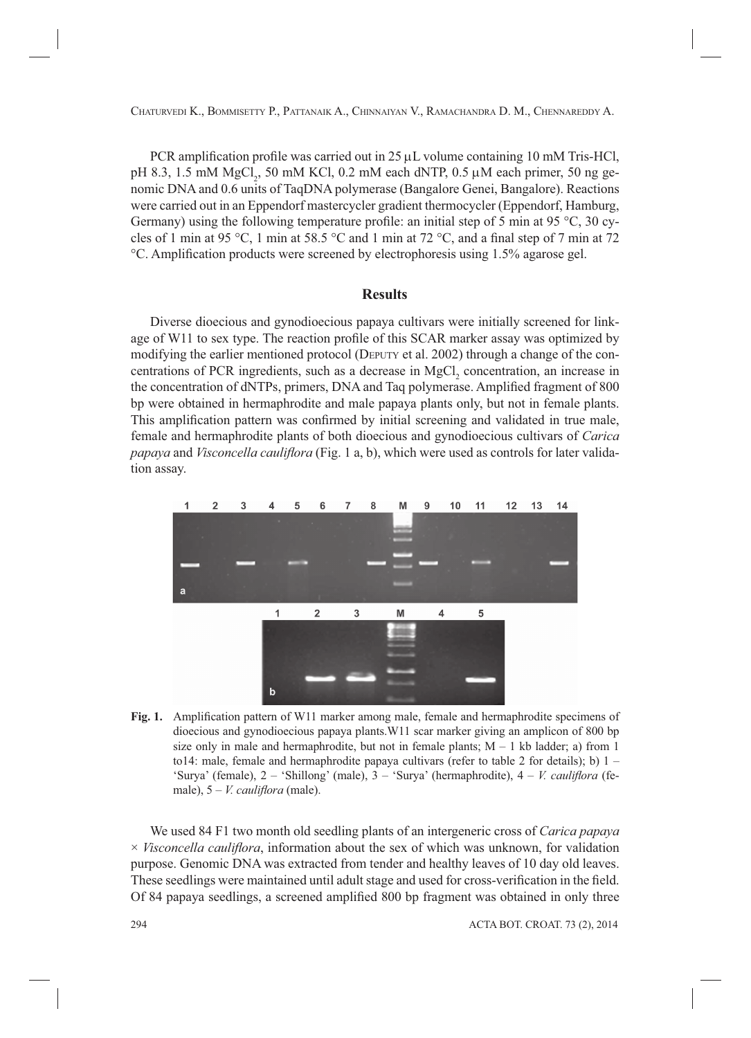PCR amplification profile was carried out in  $25 \mu L$  volume containing 10 mM Tris-HCl, pH 8.3, 1.5 mM MgCl<sub>2</sub>, 50 mM KCl, 0.2 mM each dNTP, 0.5 μM each primer, 50 ng genomic DNA and 0.6 units of TaqDNA polymerase (Bangalore Genei, Bangalore). Reactions were carried out in an Eppendorf mastercycler gradient thermocycler (Eppendorf, Hamburg, Germany) using the following temperature profile: an initial step of 5 min at 95 °C, 30 cycles of 1 min at 95 °C, 1 min at 58.5 °C and 1 min at 72 °C, and a final step of 7 min at 72 °C. Amplification products were screened by electrophoresis using 1.5% agarose gel.

### **Results**

Diverse dioecious and gynodioecious papaya cultivars were initially screened for linkage of W11 to sex type. The reaction profile of this SCAR marker assay was optimized by modifying the earlier mentioned protocol (DEPUTY et al. 2002) through a change of the concentrations of PCR ingredients, such as a decrease in  $MgCl<sub>2</sub>$  concentration, an increase in the concentration of dNTPs, primers, DNA and Taq polymerase. Amplified fragment of 800 bp were obtained in hermaphrodite and male papaya plants only, but not in female plants. This amplification pattern was confirmed by initial screening and validated in true male, female and hermaphrodite plants of both dioecious and gynodioecious cultivars of *Carica papaya* and *Visconcella cauliflora* (Fig. 1 a, b), which were used as controls for later validation assay.



Fig. 1. Amplification pattern of W11 marker among male, female and hermaphrodite specimens of dioecious and gynodioecious papaya plants. W11 scar marker giving an amplicon of 800 bp size only in male and hermaphrodite, but not in female plants;  $M - 1$  kb ladder; a) from 1 to14: male, female and hermaphrodite papaya cultivars (refer to table 2 for details); b)  $1 -$ 'Surya' (female),  $2 -$ 'Shillong' (male),  $3 -$ 'Surya' (hermaphrodite),  $4 - V$ . *cauliflora* (female),  $5 - V$ . *cauliflora* (male).

We used 84 F1 two month old seedling plants of an intergeneric cross of *Carica papaya*  $\times$  *Visconcella cauliflora*, information about the sex of which was unknown, for validation purpose. Genomic DNA was extracted from tender and healthy leaves of 10 day old leaves. These seedlings were maintained until adult stage and used for cross-verification in the field. Of 84 papaya seedlings, a screened amplified 800 bp fragment was obtained in only three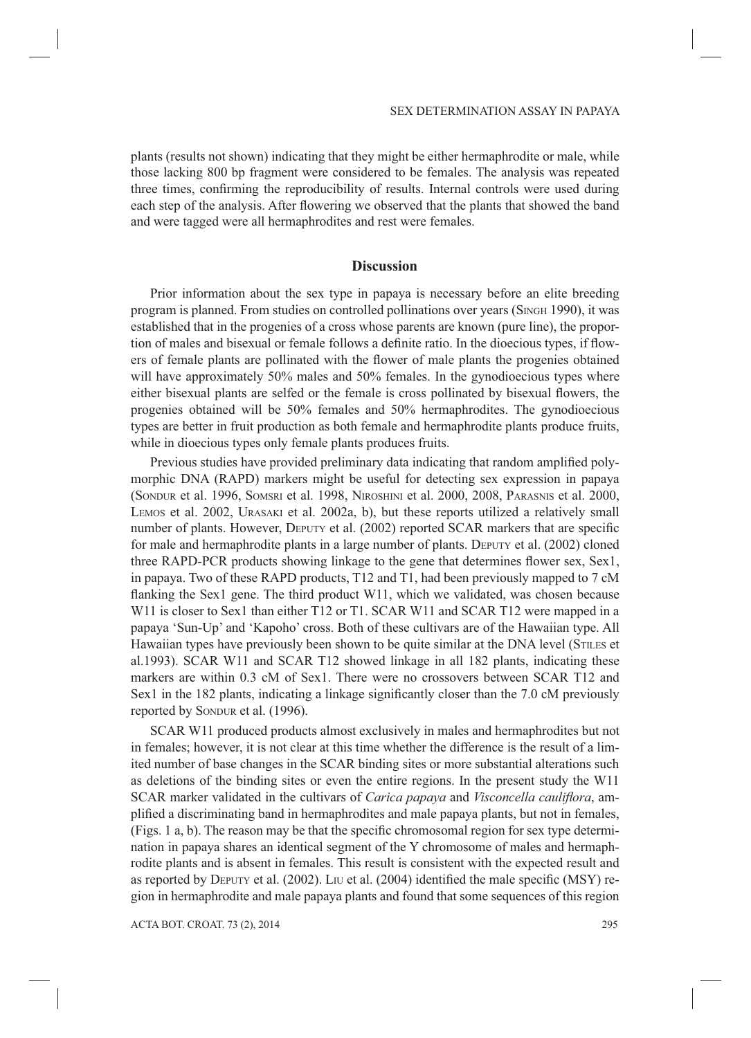plants (results not shown) indicating that they might be either hermaphrodite or male, while those lacking 800 bp fragment were considered to be females. The analysis was repeated three times, confirming the reproducibility of results. Internal controls were used during each step of the analysis. After flowering we observed that the plants that showed the band and were tagged were all hermaphrodites and rest were females.

#### **Discussion**

Prior information about the sex type in papaya is necessary before an elite breeding program is planned. From studies on controlled pollinations over years (SINGH 1990), it was established that in the progenies of a cross whose parents are known (pure line), the proportion of males and bisexual or female follows a definite ratio. In the dioecious types, if flowers of female plants are pollinated with the flower of male plants the progenies obtained will have approximately 50% males and 50% females. In the gynodioecious types where either bisexual plants are selfed or the female is cross pollinated by bisexual flowers, the progenies obtained will be 50% females and 50% hermaphrodites. The gynodioecious types are better in fruit production as both female and hermaphrodite plants produce fruits, while in dioecious types only female plants produces fruits.

Previous studies have provided preliminary data indicating that random amplified polymorphic DNA (RAPD) markers might be useful for detecting sex expression in papaya (SONDUR et al. 1996, SOMSRI et al. 1998, NIROSHINI et al. 2000, 2008, PARASNIS et al. 2000, LEMOS et al. 2002, URASAKI et al. 2002a, b), but these reports utilized a relatively small number of plants. However, DEPUTY et al. (2002) reported SCAR markers that are specific for male and hermaphrodite plants in a large number of plants. DEPUTY et al. (2002) cloned three RAPD-PCR products showing linkage to the gene that determines flower sex, Sex1, in papaya. Two of these RAPD products, T12 and T1, had been previously mapped to 7 cM flanking the Sex1 gene. The third product  $W11$ , which we validated, was chosen because W<sub>11</sub> is closer to Sex<sub>1</sub> than either T<sub>12</sub> or T<sub>1</sub>. SCAR W<sub>11</sub> and SCAR T<sub>12</sub> were mapped in a papaya 'Sun-Up' and 'Kapoho' cross. Both of these cultivars are of the Hawaiian type. All Hawaiian types have previously been shown to be quite similar at the DNA level (STILES et al.1993). SCAR W11 and SCAR T12 showed linkage in all 182 plants, indicating these markers are within 0.3 cM of Sex1. There were no crossovers between SCAR T12 and Sex1 in the  $182$  plants, indicating a linkage significantly closer than the 7.0 cM previously reported by SONDUR et al. (1996).

SCAR W11 produced products almost exclusively in males and hermaphrodites but not in females; however, it is not clear at this time whether the difference is the result of a limited number of base changes in the SCAR binding sites or more substantial alterations such as deletions of the binding sites or even the entire regions. In the present study the W11 SCAR marker validated in the cultivars of *Carica papaya* and *Visconcella cauliflora*, amplified a discriminating band in hermaphrodites and male papaya plants, but not in females, (Figs. 1 a, b). The reason may be that the specific chromosomal region for sex type determination in papaya shares an identical segment of the Y chromosome of males and hermaphrodite plants and is absent in females. This result is consistent with the expected result and as reported by DEPUTY et al.  $(2002)$ . LIU et al.  $(2004)$  identified the male specific (MSY) region in hermaphrodite and male papaya plants and found that some sequences of this region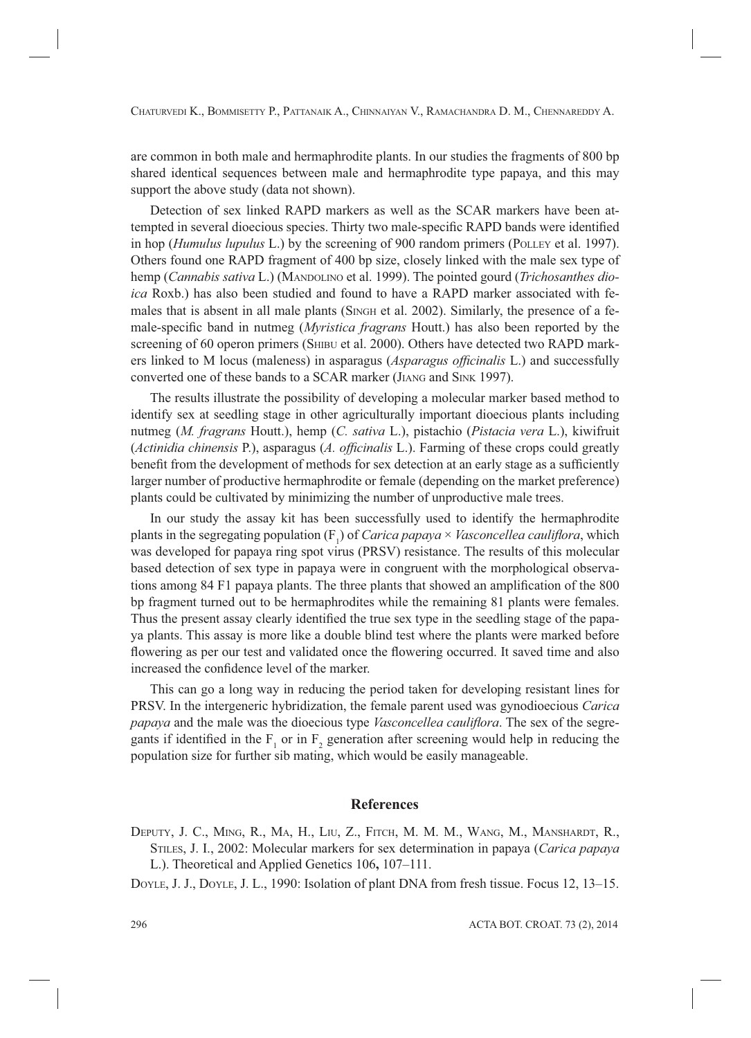are common in both male and hermaphrodite plants. In our studies the fragments of 800 bp shared identical sequences between male and hermaphrodite type papaya, and this may support the above study (data not shown).

Detection of sex linked RAPD markers as well as the SCAR markers have been attempted in several dioecious species. Thirty two male-specific RAPD bands were identified in hop (*Humulus lupulus* L.) by the screening of 900 random primers (POLLEY et al. 1997). Others found one RAPD fragment of 400 bp size, closely linked with the male sex type of hemp (*Cannabis sativa* L.) (MANDOLINO et al. 1999). The pointed gourd (*Trichosanthes dioica* Roxb.) has also been studied and found to have a RAPD marker associated with females that is absent in all male plants (SINGH et al. 2002). Similarly, the presence of a female-specific band in nutmeg (*Myristica fragrans Houtt*.) has also been reported by the screening of 60 operon primers (SHIBU et al. 2000). Others have detected two RAPD markers linked to M locus (maleness) in asparagus (*Asparagus officinalis* L.) and successfully converted one of these bands to a SCAR marker (JIANG and SINK 1997).

The results illustrate the possibility of developing a molecular marker based method to identify sex at seedling stage in other agriculturally important dioecious plants including nutmeg (*M. fragrans* Houtt.), hemp (*C. sativa* L.), pistachio (*Pistacia vera* L.), kiwifruit (*Actinidia chinensis* P.), asparagus (*A. officinalis* L.). Farming of these crops could greatly benefit from the development of methods for sex detection at an early stage as a sufficiently larger number of productive hermaphrodite or female (depending on the market preference) plants could be cultivated by minimizing the number of unproductive male trees.

In our study the assay kit has been successfully used to identify the hermaphrodite plants in the segregating population (F<sub>1</sub>) of *Carica papaya × Vasconcellea cauliflora*, which was developed for papaya ring spot virus (PRSV) resistance. The results of this molecular based detection of sex type in papaya were in congruent with the morphological observations among 84 F1 papaya plants. The three plants that showed an amplification of the 800 bp fragment turned out to be hermaphrodites while the remaining 81 plants were females. Thus the present assay clearly identified the true sex type in the seedling stage of the papaya plants. This assay is more like a double blind test where the plants were marked before flowering as per our test and validated once the flowering occurred. It saved time and also increased the confidence level of the marker.

This can go a long way in reducing the period taken for developing resistant lines for PRSV. In the intergeneric hybridization, the female parent used was gynodioecious *Carica papaya* and the male was the dioecious type *Vasconcellea cauliflora*. The sex of the segregants if identified in the  $F_1$  or in  $F_2$  generation after screening would help in reducing the population size for further sib mating, which would be easily manageable.

## **References**

DEPUTY, J. C., MING, R., MA, H., LIU, Z., FITCH, M. M. M., WANG, M., MANSHARDT, R., STILES, J. I., 2002: Molecular markers for sex determination in papaya (*Carica papaya*  L.). Theoretical and Applied Genetics 106**,** 107–111.

DOYLE, J. J., DOYLE, J. L., 1990: Isolation of plant DNA from fresh tissue. Focus 12, 13–15.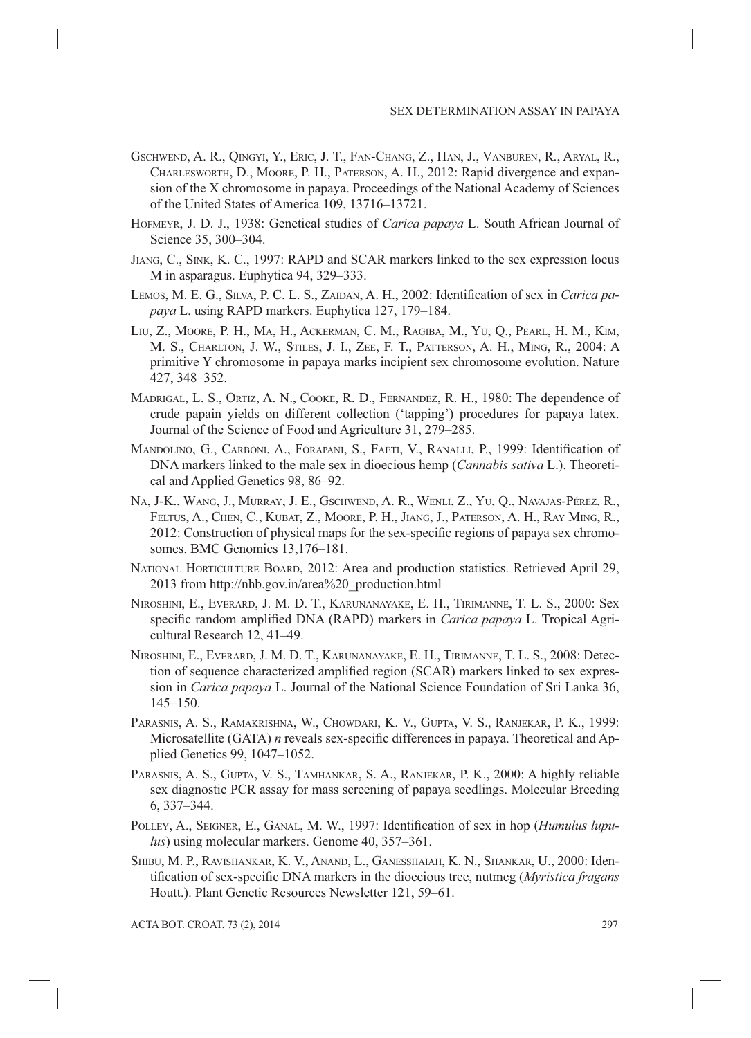- GSCHWEND, A. R., QINGYI, Y., ERIC, J. T., FAN-CHANG, Z., HAN, J., VANBUREN, R., ARYAL, R., CHARLESWORTH, D., MOORE, P. H., PATERSON, A. H., 2012: Rapid divergence and expansion of the X chromosome in papaya. Proceedings of the National Academy of Sciences of the United States of America 109, 13716–13721.
- HOFMEYR, J. D. J., 1938: Genetical studies of *Carica papaya* L. South African Journal of Science 35, 300–304.
- JIANG, C., SINK, K. C., 1997: RAPD and SCAR markers linked to the sex expression locus M in asparagus. Euphytica 94, 329–333.
- LEMOS, M. E. G., SILVA, P. C. L. S., ZAIDAN, A. H., 2002: Identification of sex in *Carica papaya* L. using RAPD markers. Euphytica 127, 179–184.
- LIU, Z., MOORE, P. H., MA, H., ACKERMAN, C. M., RAGIBA, M., YU, Q., PEARL, H. M., KIM, M. S., CHARLTON, J. W., STILES, J. I., ZEE, F. T., PATTERSON, A. H., MING, R., 2004: A primitive Y chromosome in papaya marks incipient sex chromosome evolution. Nature 427, 348–352.
- MADRIGAL, L. S., ORTIZ, A. N., COOKE, R. D., FERNANDEZ, R. H., 1980: The dependence of crude papain yields on different collection ('tapping') procedures for papaya latex. Journal of the Science of Food and Agriculture 31, 279–285.
- MANDOLINO, G., CARBONI, A., FORAPANI, S., FAETI, V., RANALLI, P., 1999: Identification of DNA markers linked to the male sex in dioecious hemp (*Cannabis sativa* L.). Theoretical and Applied Genetics 98, 86–92.
- NA, J-K., WANG, J., MURRAY, J. E., GSCHWEND, A. R., WENLI, Z., YU, Q., NAVAJAS-PÉREZ, R., FELTUS, A., CHEN, C., KUBAT, Z., MOORE, P. H., JIANG, J., PATERSON, A. H., RAY MING, R., 2012: Construction of physical maps for the sex-specific regions of papaya sex chromosomes. BMC Genomics 13,176–181.
- NATIONAL HORTICULTURE BOARD, 2012: Area and production statistics. Retrieved April 29, 2013 from http://nhb.gov.in/area%20\_production.html
- NIROSHINI, E., EVERARD, J. M. D. T., KARUNANAYAKE, E. H., TIRIMANNE, T. L. S., 2000: Sex specific random amplified DNA (RAPD) markers in *Carica papaya* L. Tropical Agricultural Research 12, 41–49.
- NIROSHINI, E., EVERARD, J. M. D. T., KARUNANAYAKE, E. H., TIRIMANNE, T. L. S., 2008: Detection of sequence characterized amplified region (SCAR) markers linked to sex expression in *Carica papaya* L. Journal of the National Science Foundation of Sri Lanka 36, 145–150.
- PARASNIS, A. S., RAMAKRISHNA, W., CHOWDARI, K. V., GUPTA, V. S., RANJEKAR, P. K., 1999: Microsatellite (GATA) *n* reveals sex-specific differences in papaya. Theoretical and Applied Genetics 99, 1047–1052.
- PARASNIS, A. S., GUPTA, V. S., TAMHANKAR, S. A., RANJEKAR, P. K., 2000: A highly reliable sex diagnostic PCR assay for mass screening of papaya seedlings. Molecular Breeding 6, 337–344.
- POLLEY, A., SEIGNER, E., GANAL, M. W., 1997: Identification of sex in hop (*Humulus lupulus*) using molecular markers. Genome 40, 357–361.
- SHIBU, M. P., RAVISHANKAR, K. V., ANAND, L., GANESSHAIAH, K. N., SHANKAR, U., 2000: Identification of sex-specific DNA markers in the dioecious tree, nutmeg (*Myristica fragans* Houtt.). Plant Genetic Resources Newsletter 121, 59–61.